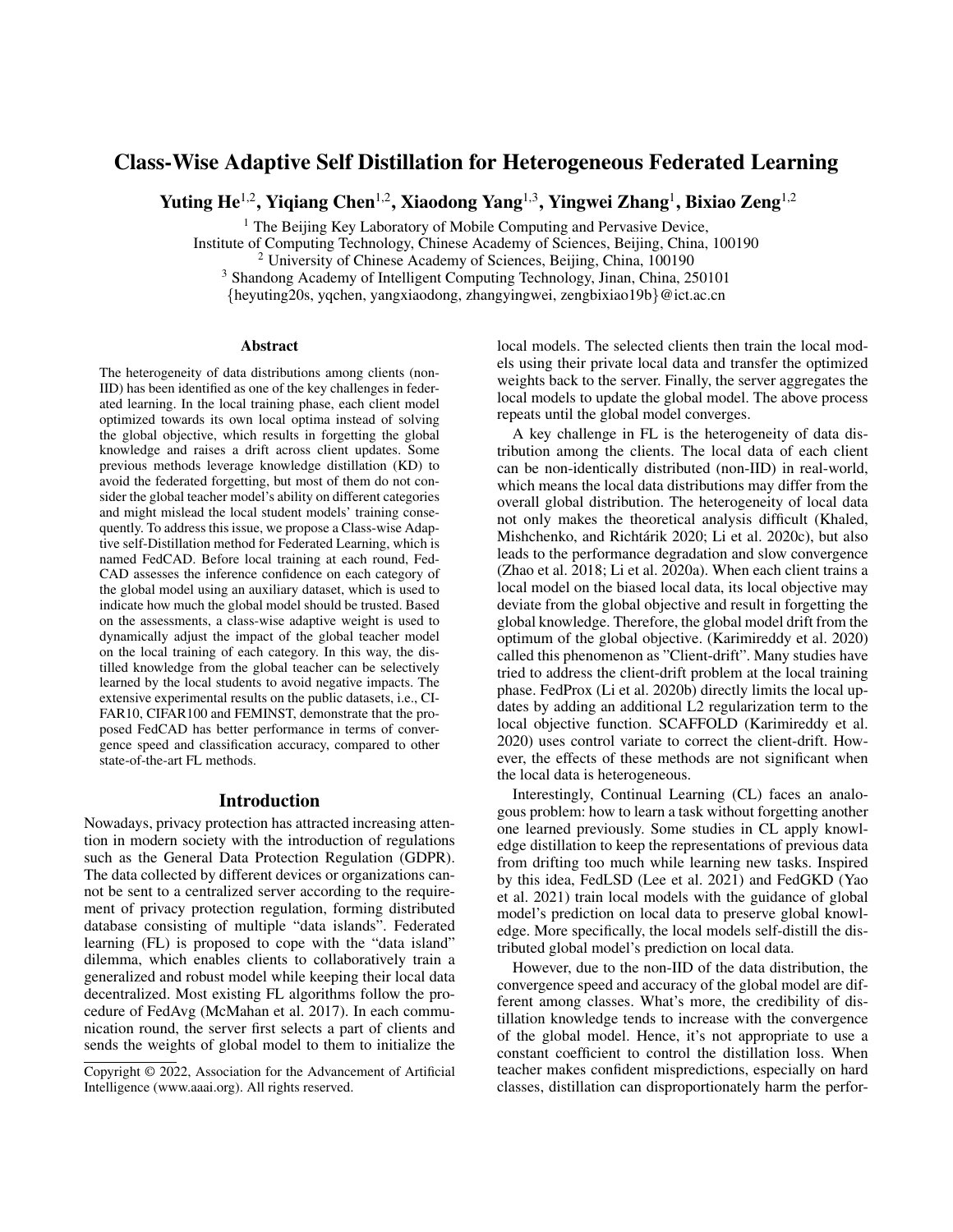# Class-Wise Adaptive Self Distillation for Heterogeneous Federated Learning

Yuting He<sup>1,2</sup>, Yiqiang Chen<sup>1,2</sup>, Xiaodong Yang<sup>1,3</sup>, Yingwei Zhang<sup>1</sup>, Bixiao Zeng<sup>1,2</sup>

 $<sup>1</sup>$  The Beijing Key Laboratory of Mobile Computing and Pervasive Device,</sup>

Institute of Computing Technology, Chinese Academy of Sciences, Beijing, China, 100190

<sup>2</sup> University of Chinese Academy of Sciences, Beijing, China, 100190

<sup>3</sup> Shandong Academy of Intelligent Computing Technology, Jinan, China, 250101

{heyuting20s, yqchen, yangxiaodong, zhangyingwei, zengbixiao19b}@ict.ac.cn

#### **Abstract**

The heterogeneity of data distributions among clients (non-IID) has been identified as one of the key challenges in federated learning. In the local training phase, each client model optimized towards its own local optima instead of solving the global objective, which results in forgetting the global knowledge and raises a drift across client updates. Some previous methods leverage knowledge distillation (KD) to avoid the federated forgetting, but most of them do not consider the global teacher model's ability on different categories and might mislead the local student models' training consequently. To address this issue, we propose a Class-wise Adaptive self-Distillation method for Federated Learning, which is named FedCAD. Before local training at each round, Fed-CAD assesses the inference confidence on each category of the global model using an auxiliary dataset, which is used to indicate how much the global model should be trusted. Based on the assessments, a class-wise adaptive weight is used to dynamically adjust the impact of the global teacher model on the local training of each category. In this way, the distilled knowledge from the global teacher can be selectively learned by the local students to avoid negative impacts. The extensive experimental results on the public datasets, i.e., CI-FAR10, CIFAR100 and FEMINST, demonstrate that the proposed FedCAD has better performance in terms of convergence speed and classification accuracy, compared to other state-of-the-art FL methods.

#### Introduction

Nowadays, privacy protection has attracted increasing attention in modern society with the introduction of regulations such as the General Data Protection Regulation (GDPR). The data collected by different devices or organizations cannot be sent to a centralized server according to the requirement of privacy protection regulation, forming distributed database consisting of multiple "data islands". Federated learning (FL) is proposed to cope with the "data island" dilemma, which enables clients to collaboratively train a generalized and robust model while keeping their local data decentralized. Most existing FL algorithms follow the procedure of FedAvg (McMahan et al. 2017). In each communication round, the server first selects a part of clients and sends the weights of global model to them to initialize the local models. The selected clients then train the local models using their private local data and transfer the optimized weights back to the server. Finally, the server aggregates the local models to update the global model. The above process repeats until the global model converges.

A key challenge in FL is the heterogeneity of data distribution among the clients. The local data of each client can be non-identically distributed (non-IID) in real-world, which means the local data distributions may differ from the overall global distribution. The heterogeneity of local data not only makes the theoretical analysis difficult (Khaled, Mishchenko, and Richtárik 2020; Li et al. 2020c), but also leads to the performance degradation and slow convergence (Zhao et al. 2018; Li et al. 2020a). When each client trains a local model on the biased local data, its local objective may deviate from the global objective and result in forgetting the global knowledge. Therefore, the global model drift from the optimum of the global objective. (Karimireddy et al. 2020) called this phenomenon as "Client-drift". Many studies have tried to address the client-drift problem at the local training phase. FedProx (Li et al. 2020b) directly limits the local updates by adding an additional L2 regularization term to the local objective function. SCAFFOLD (Karimireddy et al. 2020) uses control variate to correct the client-drift. However, the effects of these methods are not significant when the local data is heterogeneous.

Interestingly, Continual Learning (CL) faces an analogous problem: how to learn a task without forgetting another one learned previously. Some studies in CL apply knowledge distillation to keep the representations of previous data from drifting too much while learning new tasks. Inspired by this idea, FedLSD (Lee et al. 2021) and FedGKD (Yao et al. 2021) train local models with the guidance of global model's prediction on local data to preserve global knowledge. More specifically, the local models self-distill the distributed global model's prediction on local data.

However, due to the non-IID of the data distribution, the convergence speed and accuracy of the global model are different among classes. What's more, the credibility of distillation knowledge tends to increase with the convergence of the global model. Hence, it's not appropriate to use a constant coefficient to control the distillation loss. When teacher makes confident mispredictions, especially on hard classes, distillation can disproportionately harm the perfor-

Copyright © 2022, Association for the Advancement of Artificial Intelligence (www.aaai.org). All rights reserved.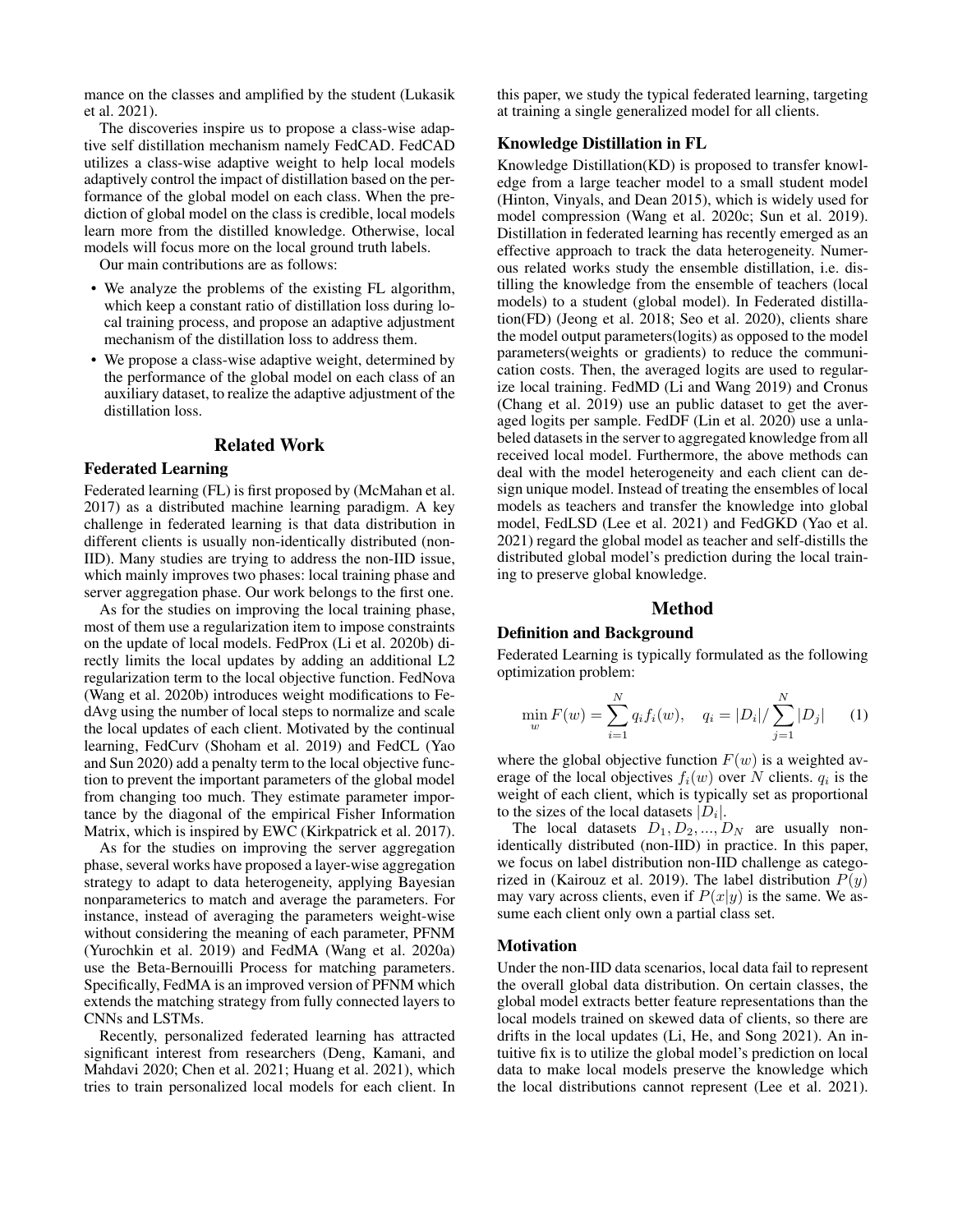mance on the classes and amplified by the student (Lukasik et al. 2021).

The discoveries inspire us to propose a class-wise adaptive self distillation mechanism namely FedCAD. FedCAD utilizes a class-wise adaptive weight to help local models adaptively control the impact of distillation based on the performance of the global model on each class. When the prediction of global model on the class is credible, local models learn more from the distilled knowledge. Otherwise, local models will focus more on the local ground truth labels.

Our main contributions are as follows:

- We analyze the problems of the existing FL algorithm, which keep a constant ratio of distillation loss during local training process, and propose an adaptive adjustment mechanism of the distillation loss to address them.
- We propose a class-wise adaptive weight, determined by the performance of the global model on each class of an auxiliary dataset, to realize the adaptive adjustment of the distillation loss.

# Related Work

#### Federated Learning

Federated learning (FL) is first proposed by (McMahan et al. 2017) as a distributed machine learning paradigm. A key challenge in federated learning is that data distribution in different clients is usually non-identically distributed (non-IID). Many studies are trying to address the non-IID issue, which mainly improves two phases: local training phase and server aggregation phase. Our work belongs to the first one.

As for the studies on improving the local training phase, most of them use a regularization item to impose constraints on the update of local models. FedProx (Li et al. 2020b) directly limits the local updates by adding an additional L2 regularization term to the local objective function. FedNova (Wang et al. 2020b) introduces weight modifications to FedAvg using the number of local steps to normalize and scale the local updates of each client. Motivated by the continual learning, FedCurv (Shoham et al. 2019) and FedCL (Yao and Sun 2020) add a penalty term to the local objective function to prevent the important parameters of the global model from changing too much. They estimate parameter importance by the diagonal of the empirical Fisher Information Matrix, which is inspired by EWC (Kirkpatrick et al. 2017).

As for the studies on improving the server aggregation phase, several works have proposed a layer-wise aggregation strategy to adapt to data heterogeneity, applying Bayesian nonparameterics to match and average the parameters. For instance, instead of averaging the parameters weight-wise without considering the meaning of each parameter, PFNM (Yurochkin et al. 2019) and FedMA (Wang et al. 2020a) use the Beta-Bernouilli Process for matching parameters. Specifically, FedMA is an improved version of PFNM which extends the matching strategy from fully connected layers to CNNs and LSTMs.

Recently, personalized federated learning has attracted significant interest from researchers (Deng, Kamani, and Mahdavi 2020; Chen et al. 2021; Huang et al. 2021), which tries to train personalized local models for each client. In this paper, we study the typical federated learning, targeting at training a single generalized model for all clients.

# Knowledge Distillation in FL

Knowledge Distillation(KD) is proposed to transfer knowledge from a large teacher model to a small student model (Hinton, Vinyals, and Dean 2015), which is widely used for model compression (Wang et al. 2020c; Sun et al. 2019). Distillation in federated learning has recently emerged as an effective approach to track the data heterogeneity. Numerous related works study the ensemble distillation, i.e. distilling the knowledge from the ensemble of teachers (local models) to a student (global model). In Federated distillation(FD) (Jeong et al. 2018; Seo et al. 2020), clients share the model output parameters(logits) as opposed to the model parameters(weights or gradients) to reduce the communication costs. Then, the averaged logits are used to regularize local training. FedMD (Li and Wang 2019) and Cronus (Chang et al. 2019) use an public dataset to get the averaged logits per sample. FedDF (Lin et al. 2020) use a unlabeled datasets in the server to aggregated knowledge from all received local model. Furthermore, the above methods can deal with the model heterogeneity and each client can design unique model. Instead of treating the ensembles of local models as teachers and transfer the knowledge into global model, FedLSD (Lee et al. 2021) and FedGKD (Yao et al. 2021) regard the global model as teacher and self-distills the distributed global model's prediction during the local training to preserve global knowledge.

#### Method

#### Definition and Background

Federated Learning is typically formulated as the following optimization problem:

$$
\min_{w} F(w) = \sum_{i=1}^{N} q_i f_i(w), \quad q_i = |D_i| / \sum_{j=1}^{N} |D_j| \tag{1}
$$

where the global objective function  $F(w)$  is a weighted average of the local objectives  $f_i(w)$  over N clients.  $q_i$  is the weight of each client, which is typically set as proportional to the sizes of the local datasets  $|D_i|$ .

The local datasets  $D_1, D_2, ..., D_N$  are usually nonidentically distributed (non-IID) in practice. In this paper, we focus on label distribution non-IID challenge as categorized in (Kairouz et al. 2019). The label distribution  $P(y)$ may vary across clients, even if  $P(x|y)$  is the same. We assume each client only own a partial class set.

#### **Motivation**

Under the non-IID data scenarios, local data fail to represent the overall global data distribution. On certain classes, the global model extracts better feature representations than the local models trained on skewed data of clients, so there are drifts in the local updates (Li, He, and Song 2021). An intuitive fix is to utilize the global model's prediction on local data to make local models preserve the knowledge which the local distributions cannot represent (Lee et al. 2021).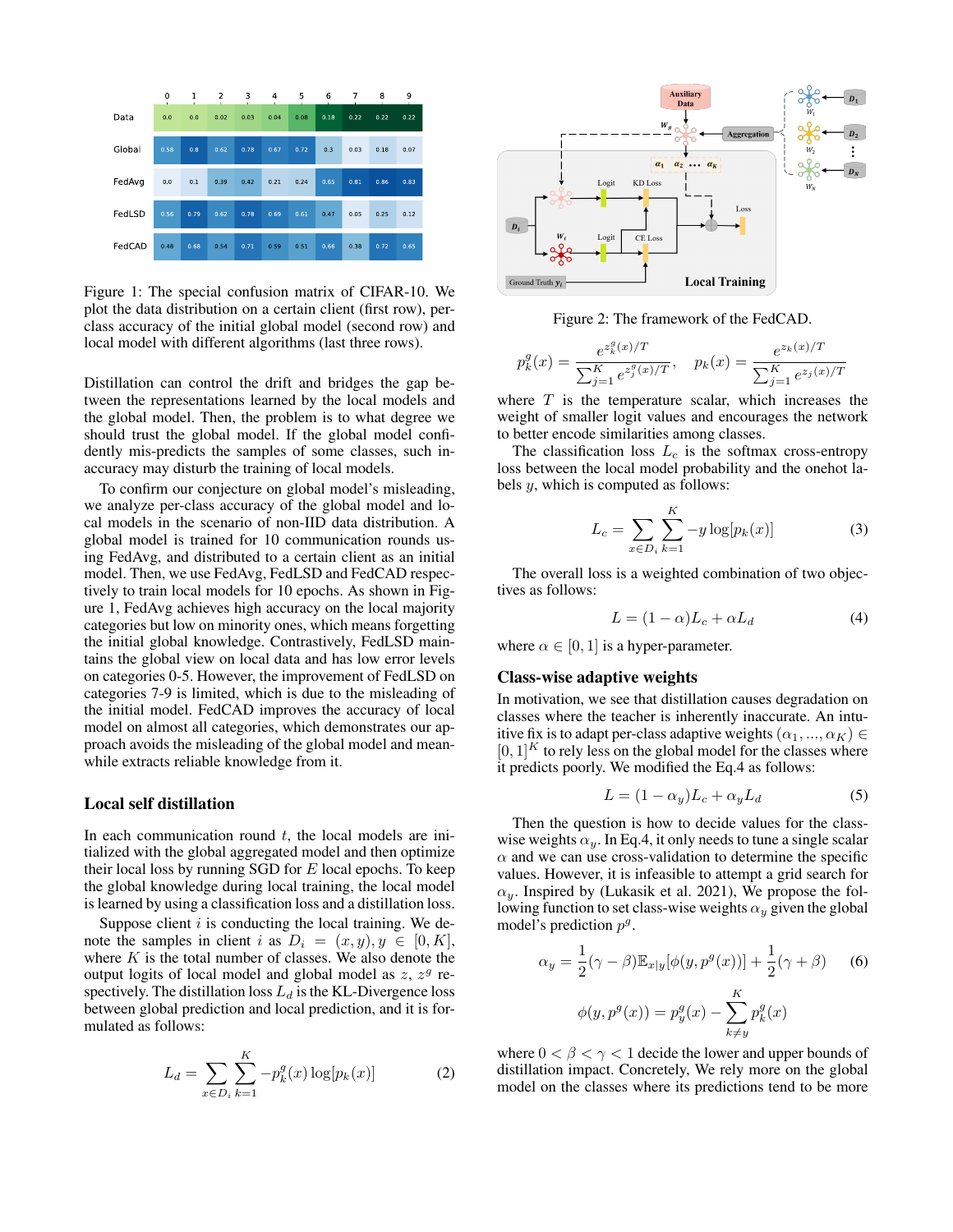

Figure 1: The special confusion matrix of CIFAR-10. We plot the data distribution on a certain client (first row), perclass accuracy of the initial global model (second row) and local model with different algorithms (last three rows).

Distillation can control the drift and bridges the gap between the representations learned by the local models and the global model. Then, the problem is to what degree we should trust the global model. If the global model confidently mis-predicts the samples of some classes, such inaccuracy may disturb the training of local models.

To confirm our conjecture on global model's misleading, we analyze per-class accuracy of the global model and local models in the scenario of non-IID data distribution. A global model is trained for 10 communication rounds using FedAvg, and distributed to a certain client as an initial model. Then, we use FedAvg, FedLSD and FedCAD respectively to train local models for 10 epochs. As shown in Figure 1, FedAvg achieves high accuracy on the local majority categories but low on minority ones, which means forgetting the initial global knowledge. Contrastively, FedLSD maintains the global view on local data and has low error levels on categories 0-5. However, the improvement of FedLSD on categories 7-9 is limited, which is due to the misleading of the initial model. FedCAD improves the accuracy of local model on almost all categories, which demonstrates our approach avoids the misleading of the global model and meanwhile extracts reliable knowledge from it.

# Local self distillation

In each communication round  $t$ , the local models are initialized with the global aggregated model and then optimize their local loss by running SGD for  $E$  local epochs. To keep the global knowledge during local training, the local model is learned by using a classification loss and a distillation loss.

Suppose client  $i$  is conducting the local training. We denote the samples in client i as  $D_i = (x, y), y \in [0, K],$ where  $K$  is the total number of classes. We also denote the output logits of local model and global model as  $z$ ,  $z<sup>g</sup>$  respectively. The distillation loss  $L_d$  is the KL-Divergence loss between global prediction and local prediction, and it is formulated as follows:

$$
L_d = \sum_{x \in D_i} \sum_{k=1}^{K} -p_k^g(x) \log[p_k(x)] \tag{2}
$$



Figure 2: The framework of the FedCAD.

$$
p_k^g(x) = \frac{e^{z_k^g(x)/T}}{\sum_{j=1}^K e^{z_j^g(x)/T}}, \quad p_k(x) = \frac{e^{z_k(x)/T}}{\sum_{j=1}^K e^{z_j(x)/T}}
$$

where  $T$  is the temperature scalar, which increases the weight of smaller logit values and encourages the network to better encode similarities among classes.

The classification loss  $L_c$  is the softmax cross-entropy loss between the local model probability and the onehot labels y, which is computed as follows:

$$
L_c = \sum_{x \in D_i} \sum_{k=1}^{K} -y \log[p_k(x)]
$$
 (3)

The overall loss is a weighted combination of two objectives as follows:

$$
L = (1 - \alpha)L_c + \alpha L_d \tag{4}
$$

where  $\alpha \in [0, 1]$  is a hyper-parameter.

# Class-wise adaptive weights

In motivation, we see that distillation causes degradation on classes where the teacher is inherently inaccurate. An intuitive fix is to adapt per-class adaptive weights  $(\alpha_1, ..., \alpha_K) \in$  $[0, 1]^{K}$  to rely less on the global model for the classes where it predicts poorly. We modified the Eq.4 as follows:

$$
L = (1 - \alpha_y)L_c + \alpha_y L_d \tag{5}
$$

Then the question is how to decide values for the classwise weights  $\alpha_y$ . In Eq.4, it only needs to tune a single scalar  $\alpha$  and we can use cross-validation to determine the specific values. However, it is infeasible to attempt a grid search for  $\alpha_y$ . Inspired by (Lukasik et al. 2021), We propose the following function to set class-wise weights  $\alpha_y$  given the global model's prediction  $p^g$ .

$$
\alpha_y = \frac{1}{2} (\gamma - \beta) \mathbb{E}_{x|y} [\phi(y, p^g(x))] + \frac{1}{2} (\gamma + \beta) \quad (6)
$$

$$
\phi(y, p^g(x)) = p_y^g(x) - \sum_{k \neq y}^K p_k^g(x)
$$

where  $0 < \beta < \gamma < 1$  decide the lower and upper bounds of distillation impact. Concretely, We rely more on the global model on the classes where its predictions tend to be more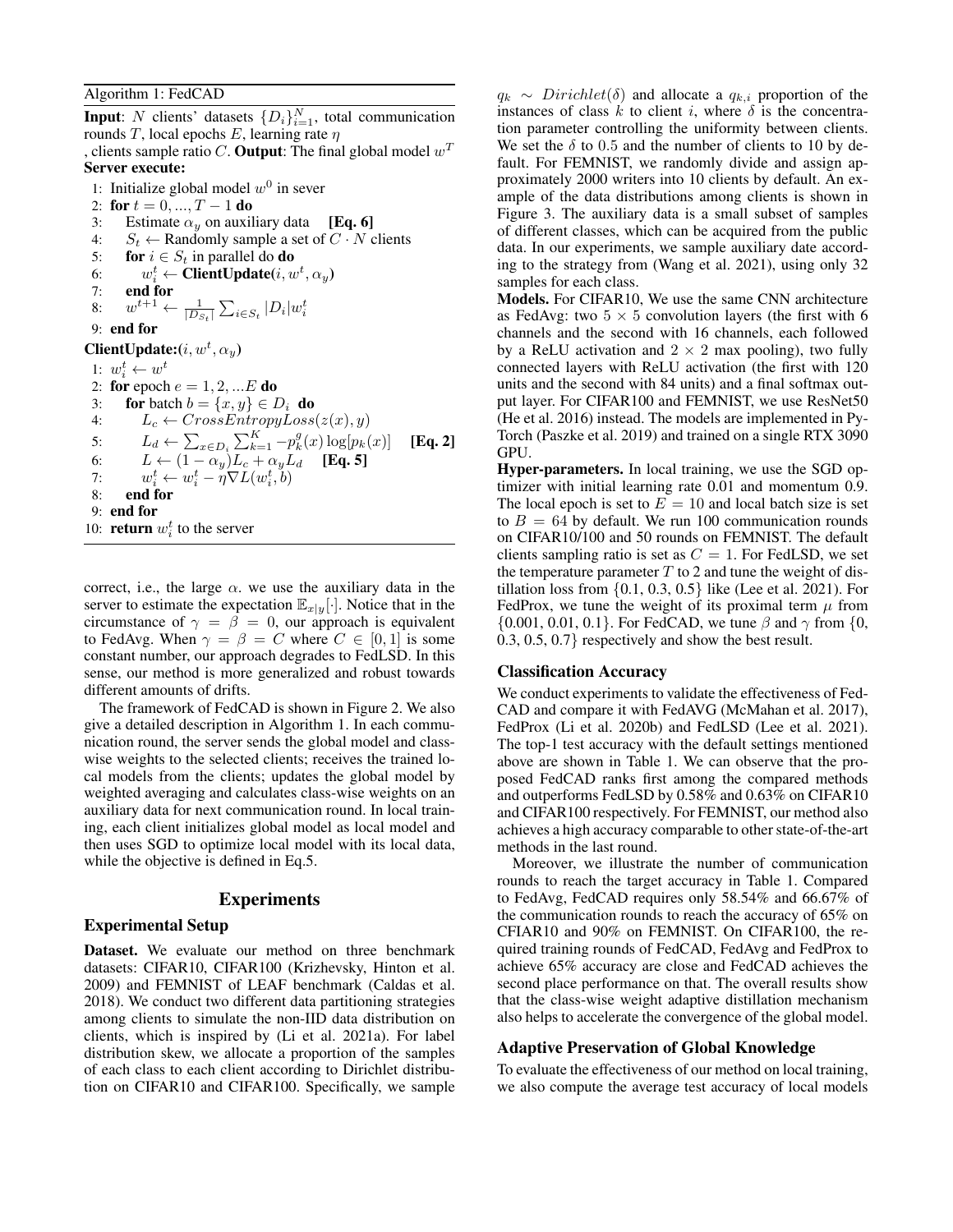Algorithm 1: FedCAD

**Input**: N clients' datasets  $\{D_i\}_{i=1}^N$ , total communication rounds T, local epochs E, learning rate  $\eta$ , clients sample ratio C. Output: The final global model  $w^T$ Server execute: 1: Initialize global model  $w^0$  in sever 2: for  $t = 0, ..., T - 1$  do 3: Estimate  $\alpha_y$  on auxiliary data [Eq. 6]<br>4:  $S_t \leftarrow$  Randomly sample a set of  $C \cdot N$  of  $S_t \leftarrow$  Randomly sample a set of  $C \cdot N$  clients 5: for  $i \in S_t$  in parallel do **do** 6:  $w_i^t \leftarrow \text{ClientUpdate}(i, w^t, \alpha_y)$ 7: end for 8:  $w^{t+1} \leftarrow \frac{1}{|D_{S_t}|} \sum_{i \in S_t} |D_i| w_i^t$ 9: end for ClientUpdate: $(i, w^t, \alpha_y)$ 1:  $w_i^t \leftarrow w^t$ 2: for epoch  $e = 1, 2, \dots E$  do 3: **for** batch  $b = \{x, y\} \in D_i$  **do**<br>4:  $L_c \leftarrow CrossEntropyLoss$  $L_c \leftarrow CrossEntropyLoss(z(x), y)$ 5:  $L_d \leftarrow \sum_{x \in D_i} \sum_{k=1}^K -p_k^g(x) \log[p_k(x)]$  [**Eq. 2**] 6:  $L \leftarrow (1 - \alpha_y)L_c + \alpha_y L_d$  [Eq. 5] 7:  $w_i^t \leftarrow w_i^t - \eta \nabla L(w_i^t, b)$ 8: end for 9: end for 10: **return**  $w_i^t$  to the server

correct, i.e., the large  $\alpha$ . we use the auxiliary data in the server to estimate the expectation  $\mathbb{E}_{x|y}[\cdot]$ . Notice that in the circumstance of  $\gamma = \beta = 0$ , our approach is equivalent to FedAvg. When  $\gamma = \beta = C$  where  $C \in [0, 1]$  is some constant number, our approach degrades to FedLSD. In this sense, our method is more generalized and robust towards different amounts of drifts.

The framework of FedCAD is shown in Figure 2. We also give a detailed description in Algorithm 1. In each communication round, the server sends the global model and classwise weights to the selected clients; receives the trained local models from the clients; updates the global model by weighted averaging and calculates class-wise weights on an auxiliary data for next communication round. In local training, each client initializes global model as local model and then uses SGD to optimize local model with its local data, while the objective is defined in Eq.5.

# **Experiments**

## Experimental Setup

Dataset. We evaluate our method on three benchmark datasets: CIFAR10, CIFAR100 (Krizhevsky, Hinton et al. 2009) and FEMNIST of LEAF benchmark (Caldas et al. 2018). We conduct two different data partitioning strategies among clients to simulate the non-IID data distribution on clients, which is inspired by (Li et al. 2021a). For label distribution skew, we allocate a proportion of the samples of each class to each client according to Dirichlet distribution on CIFAR10 and CIFAR100. Specifically, we sample

 $q_k \sim Dirichlet(\delta)$  and allocate a  $q_{k,i}$  proportion of the instances of class k to client i, where  $\delta$  is the concentration parameter controlling the uniformity between clients. We set the  $\delta$  to 0.5 and the number of clients to 10 by default. For FEMNIST, we randomly divide and assign approximately 2000 writers into 10 clients by default. An example of the data distributions among clients is shown in Figure 3. The auxiliary data is a small subset of samples of different classes, which can be acquired from the public data. In our experiments, we sample auxiliary date according to the strategy from (Wang et al. 2021), using only 32 samples for each class.

Models. For CIFAR10, We use the same CNN architecture as FedAvg: two  $5 \times 5$  convolution layers (the first with 6 channels and the second with 16 channels, each followed by a ReLU activation and  $2 \times 2$  max pooling), two fully connected layers with ReLU activation (the first with 120 units and the second with 84 units) and a final softmax output layer. For CIFAR100 and FEMNIST, we use ResNet50 (He et al. 2016) instead. The models are implemented in Py-Torch (Paszke et al. 2019) and trained on a single RTX 3090 GPU.

Hyper-parameters. In local training, we use the SGD optimizer with initial learning rate 0.01 and momentum 0.9. The local epoch is set to  $E = 10$  and local batch size is set to  $B = 64$  by default. We run 100 communication rounds on CIFAR10/100 and 50 rounds on FEMNIST. The default clients sampling ratio is set as  $C = 1$ . For FedLSD, we set the temperature parameter  $T$  to 2 and tune the weight of distillation loss from  $\{0.1, 0.3, 0.5\}$  like (Lee et al. 2021). For FedProx, we tune the weight of its proximal term  $\mu$  from  $\{0.001, 0.01, 0.1\}$ . For FedCAD, we tune  $\beta$  and  $\gamma$  from  $\{0,$ 0.3, 0.5, 0.7} respectively and show the best result.

# Classification Accuracy

We conduct experiments to validate the effectiveness of Fed-CAD and compare it with FedAVG (McMahan et al. 2017), FedProx (Li et al. 2020b) and FedLSD (Lee et al. 2021). The top-1 test accuracy with the default settings mentioned above are shown in Table 1. We can observe that the proposed FedCAD ranks first among the compared methods and outperforms FedLSD by 0.58% and 0.63% on CIFAR10 and CIFAR100 respectively. For FEMNIST, our method also achieves a high accuracy comparable to other state-of-the-art methods in the last round.

Moreover, we illustrate the number of communication rounds to reach the target accuracy in Table 1. Compared to FedAvg, FedCAD requires only 58.54% and 66.67% of the communication rounds to reach the accuracy of 65% on CFIAR10 and 90% on FEMNIST. On CIFAR100, the required training rounds of FedCAD, FedAvg and FedProx to achieve 65% accuracy are close and FedCAD achieves the second place performance on that. The overall results show that the class-wise weight adaptive distillation mechanism also helps to accelerate the convergence of the global model.

## Adaptive Preservation of Global Knowledge

To evaluate the effectiveness of our method on local training, we also compute the average test accuracy of local models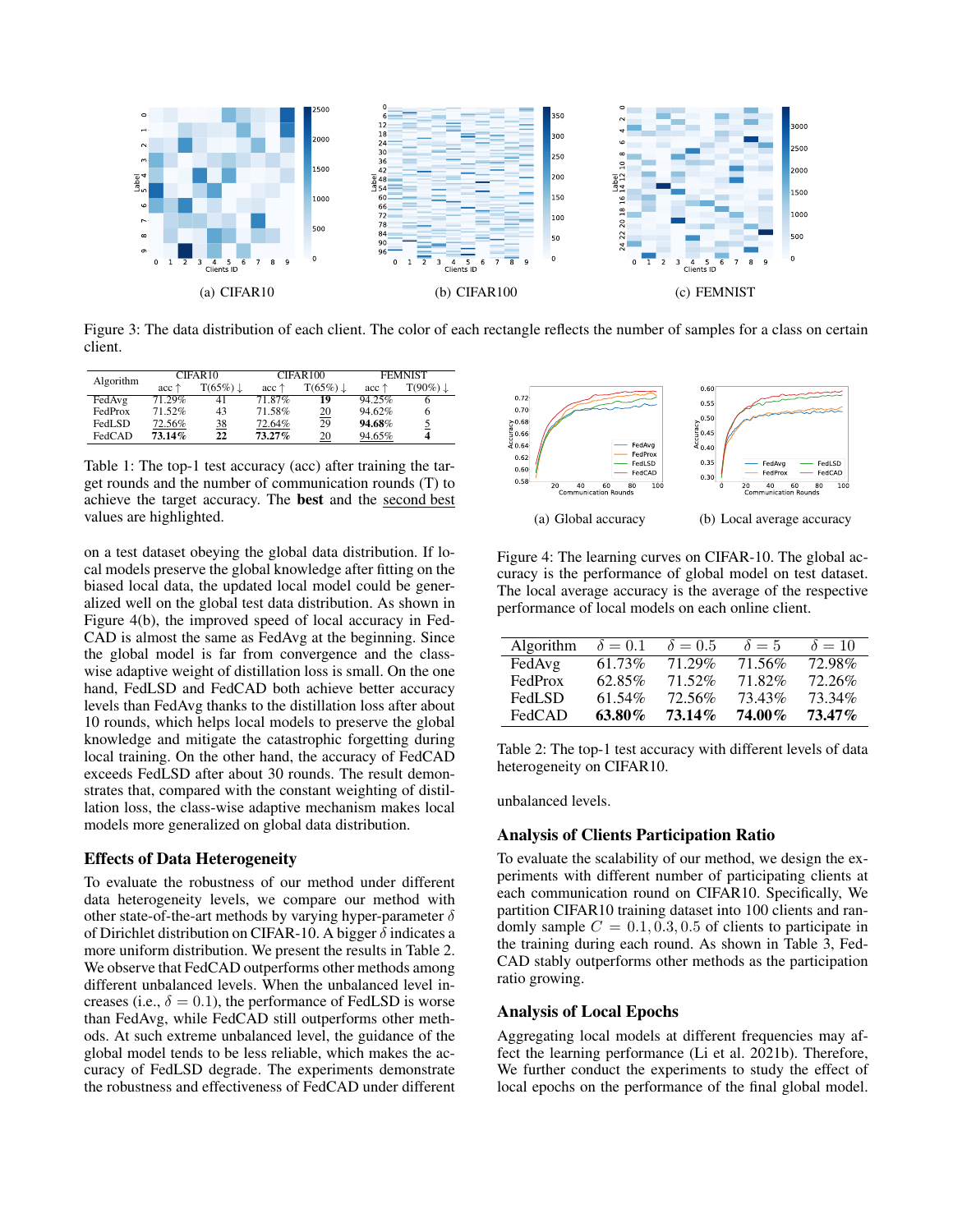

Figure 3: The data distribution of each client. The color of each rectangle reflects the number of samples for a class on certain client.

| Algorithm | CIFAR10        |                 | CIFAR100       |                      | <b>FEMNIST</b> |                      |
|-----------|----------------|-----------------|----------------|----------------------|----------------|----------------------|
|           | $acc \uparrow$ | $T(65\%) \perp$ | $acc \uparrow$ | $T(65\%) \downarrow$ | $acc \uparrow$ | $T(90\%) \downarrow$ |
| FedAvg    | 71.29%         | 41              | 71.87%         | 19                   | 94.25%         | O                    |
| FedProx   | 71.52%         | 43              | 71.58%         | 20                   | 94.62%         | 6                    |
| FedLSD    | 72.56%         | $\frac{38}{5}$  | 72.64%         | 29                   | 94.68%         | 5                    |
| FedCAD    | 73.14%         | 22              | $73.27\%$      | 20                   | 94.65%         |                      |

Table 1: The top-1 test accuracy (acc) after training the target rounds and the number of communication rounds (T) to achieve the target accuracy. The best and the second best values are highlighted.

on a test dataset obeying the global data distribution. If local models preserve the global knowledge after fitting on the biased local data, the updated local model could be generalized well on the global test data distribution. As shown in Figure 4(b), the improved speed of local accuracy in Fed-CAD is almost the same as FedAvg at the beginning. Since the global model is far from convergence and the classwise adaptive weight of distillation loss is small. On the one hand, FedLSD and FedCAD both achieve better accuracy levels than FedAvg thanks to the distillation loss after about 10 rounds, which helps local models to preserve the global knowledge and mitigate the catastrophic forgetting during local training. On the other hand, the accuracy of FedCAD exceeds FedLSD after about 30 rounds. The result demonstrates that, compared with the constant weighting of distillation loss, the class-wise adaptive mechanism makes local models more generalized on global data distribution.

#### Effects of Data Heterogeneity

To evaluate the robustness of our method under different data heterogeneity levels, we compare our method with other state-of-the-art methods by varying hyper-parameter  $\delta$ of Dirichlet distribution on CIFAR-10. A bigger  $\delta$  indicates a more uniform distribution. We present the results in Table 2. We observe that FedCAD outperforms other methods among different unbalanced levels. When the unbalanced level increases (i.e.,  $\delta = 0.1$ ), the performance of FedLSD is worse than FedAvg, while FedCAD still outperforms other methods. At such extreme unbalanced level, the guidance of the global model tends to be less reliable, which makes the accuracy of FedLSD degrade. The experiments demonstrate the robustness and effectiveness of FedCAD under different



Figure 4: The learning curves on CIFAR-10. The global accuracy is the performance of global model on test dataset. The local average accuracy is the average of the respective performance of local models on each online client.

| Algorithm     | $\delta = 0.1$ | $\delta = 0.5$ | $\delta = 5$ | $\delta = 10$ |
|---------------|----------------|----------------|--------------|---------------|
| FedAvg        | 61.73%         | 71.29%         | 71.56%       | 72.98%        |
| FedProx       | 62.85%         | 71.52%         | 71.82%       | 72.26%        |
| <b>FedLSD</b> | $61.54\%$      | 72.56%         | 73.43%       | 73.34%        |
| FedCAD        | 63.80%         | $73.14\%$      | 74.00%       | $73.47\%$     |

Table 2: The top-1 test accuracy with different levels of data heterogeneity on CIFAR10.

unbalanced levels.

#### Analysis of Clients Participation Ratio

To evaluate the scalability of our method, we design the experiments with different number of participating clients at each communication round on CIFAR10. Specifically, We partition CIFAR10 training dataset into 100 clients and randomly sample  $C = 0.1, 0.3, 0.5$  of clients to participate in the training during each round. As shown in Table 3, Fed-CAD stably outperforms other methods as the participation ratio growing.

# Analysis of Local Epochs

Aggregating local models at different frequencies may affect the learning performance (Li et al. 2021b). Therefore, We further conduct the experiments to study the effect of local epochs on the performance of the final global model.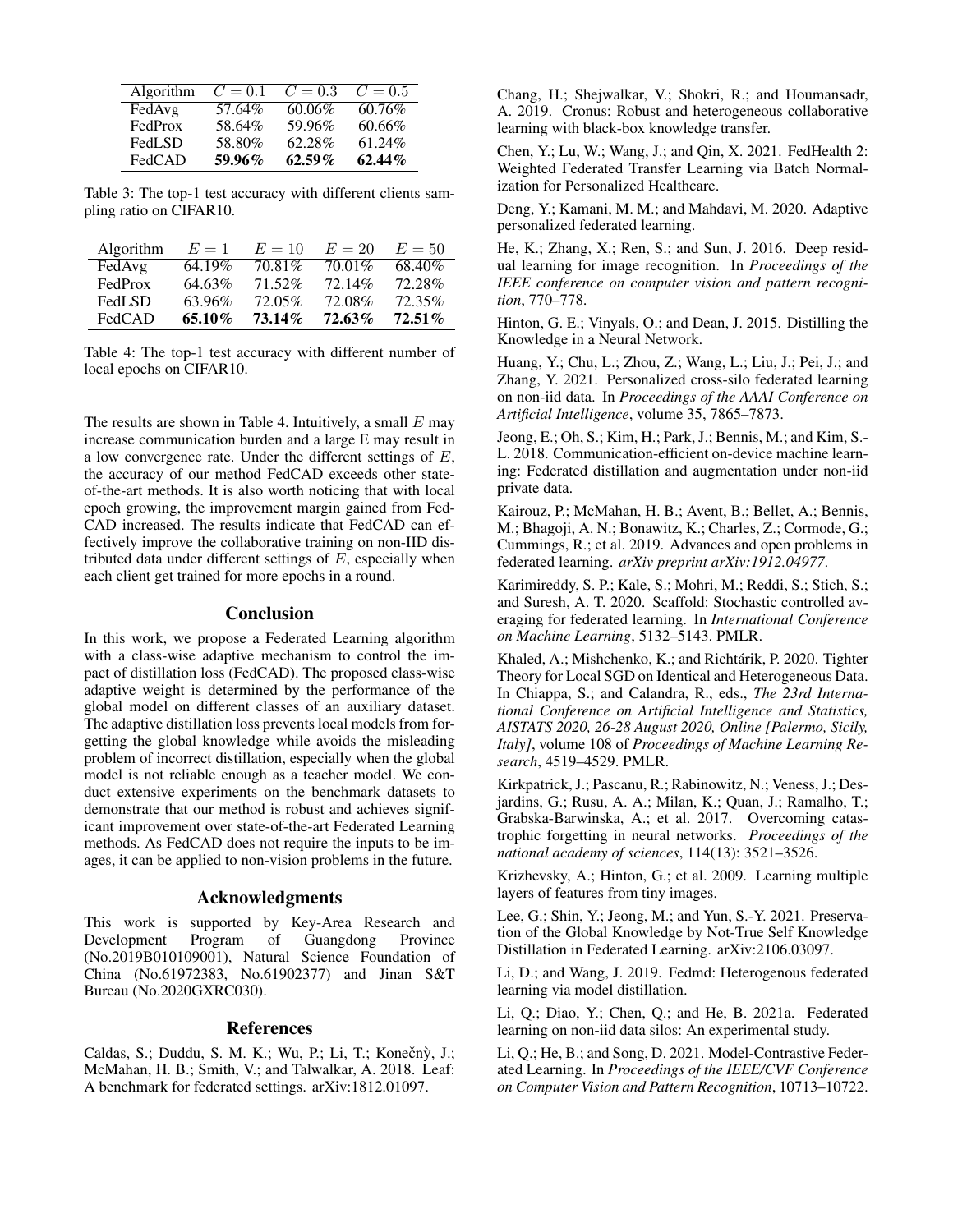| Algorithm | $C=0.1$ | $C=0.3$   | $C = 0.5$ |
|-----------|---------|-----------|-----------|
| FedAvg    | 57.64%  | $60.06\%$ | 60.76%    |
| FedProx   | 58.64%  | 59.96%    | 60.66%    |
| FedLSD    | 58.80%  | 62.28%    | 61.24%    |
| FedCAD    | 59.96%  | $62.59\%$ | $62.44\%$ |

Table 3: The top-1 test accuracy with different clients sampling ratio on CIFAR10.

| Algorithm     | $E=1$     | $E=10$    | $E=20$    | $E=50$    |
|---------------|-----------|-----------|-----------|-----------|
| FedAvg        | 64.19%    | 70.81\%   | 70.01\%   | 68.40\%   |
| FedProx       | 64.63%    | 71.52%    | $72.14\%$ | 72.28%    |
| <b>FedLSD</b> | 63.96%    | 72.05%    | 72.08%    | 72.35%    |
| FedCAD        | $65.10\%$ | $73.14\%$ | 72.63%    | $72.51\%$ |

Table 4: The top-1 test accuracy with different number of local epochs on CIFAR10.

The results are shown in Table 4. Intuitively, a small  $E$  may increase communication burden and a large E may result in a low convergence rate. Under the different settings of E, the accuracy of our method FedCAD exceeds other stateof-the-art methods. It is also worth noticing that with local epoch growing, the improvement margin gained from Fed-CAD increased. The results indicate that FedCAD can effectively improve the collaborative training on non-IID distributed data under different settings of  $E$ , especially when each client get trained for more epochs in a round.

#### **Conclusion**

In this work, we propose a Federated Learning algorithm with a class-wise adaptive mechanism to control the impact of distillation loss (FedCAD). The proposed class-wise adaptive weight is determined by the performance of the global model on different classes of an auxiliary dataset. The adaptive distillation loss prevents local models from forgetting the global knowledge while avoids the misleading problem of incorrect distillation, especially when the global model is not reliable enough as a teacher model. We conduct extensive experiments on the benchmark datasets to demonstrate that our method is robust and achieves significant improvement over state-of-the-art Federated Learning methods. As FedCAD does not require the inputs to be images, it can be applied to non-vision problems in the future.

#### Acknowledgments

This work is supported by Key-Area Research and Development Program of Guangdong Province (No.2019B010109001), Natural Science Foundation of China (No.61972383, No.61902377) and Jinan S&T Bureau (No.2020GXRC030).

# References

Caldas, S.; Duddu, S. M. K.; Wu, P.; Li, T.; Konečný, J.; McMahan, H. B.; Smith, V.; and Talwalkar, A. 2018. Leaf: A benchmark for federated settings. arXiv:1812.01097.

Chang, H.; Shejwalkar, V.; Shokri, R.; and Houmansadr, A. 2019. Cronus: Robust and heterogeneous collaborative learning with black-box knowledge transfer.

Chen, Y.; Lu, W.; Wang, J.; and Qin, X. 2021. FedHealth 2: Weighted Federated Transfer Learning via Batch Normalization for Personalized Healthcare.

Deng, Y.; Kamani, M. M.; and Mahdavi, M. 2020. Adaptive personalized federated learning.

He, K.; Zhang, X.; Ren, S.; and Sun, J. 2016. Deep residual learning for image recognition. In *Proceedings of the IEEE conference on computer vision and pattern recognition*, 770–778.

Hinton, G. E.; Vinyals, O.; and Dean, J. 2015. Distilling the Knowledge in a Neural Network.

Huang, Y.; Chu, L.; Zhou, Z.; Wang, L.; Liu, J.; Pei, J.; and Zhang, Y. 2021. Personalized cross-silo federated learning on non-iid data. In *Proceedings of the AAAI Conference on Artificial Intelligence*, volume 35, 7865–7873.

Jeong, E.; Oh, S.; Kim, H.; Park, J.; Bennis, M.; and Kim, S.- L. 2018. Communication-efficient on-device machine learning: Federated distillation and augmentation under non-iid private data.

Kairouz, P.; McMahan, H. B.; Avent, B.; Bellet, A.; Bennis, M.; Bhagoji, A. N.; Bonawitz, K.; Charles, Z.; Cormode, G.; Cummings, R.; et al. 2019. Advances and open problems in federated learning. *arXiv preprint arXiv:1912.04977*.

Karimireddy, S. P.; Kale, S.; Mohri, M.; Reddi, S.; Stich, S.; and Suresh, A. T. 2020. Scaffold: Stochastic controlled averaging for federated learning. In *International Conference on Machine Learning*, 5132–5143. PMLR.

Khaled, A.; Mishchenko, K.; and Richtárik, P. 2020. Tighter Theory for Local SGD on Identical and Heterogeneous Data. In Chiappa, S.; and Calandra, R., eds., *The 23rd International Conference on Artificial Intelligence and Statistics, AISTATS 2020, 26-28 August 2020, Online [Palermo, Sicily, Italy]*, volume 108 of *Proceedings of Machine Learning Research*, 4519–4529. PMLR.

Kirkpatrick, J.; Pascanu, R.; Rabinowitz, N.; Veness, J.; Desjardins, G.; Rusu, A. A.; Milan, K.; Quan, J.; Ramalho, T.; Grabska-Barwinska, A.; et al. 2017. Overcoming catastrophic forgetting in neural networks. *Proceedings of the national academy of sciences*, 114(13): 3521–3526.

Krizhevsky, A.; Hinton, G.; et al. 2009. Learning multiple layers of features from tiny images.

Lee, G.; Shin, Y.; Jeong, M.; and Yun, S.-Y. 2021. Preservation of the Global Knowledge by Not-True Self Knowledge Distillation in Federated Learning. arXiv:2106.03097.

Li, D.; and Wang, J. 2019. Fedmd: Heterogenous federated learning via model distillation.

Li, Q.; Diao, Y.; Chen, Q.; and He, B. 2021a. Federated learning on non-iid data silos: An experimental study.

Li, Q.; He, B.; and Song, D. 2021. Model-Contrastive Federated Learning. In *Proceedings of the IEEE/CVF Conference on Computer Vision and Pattern Recognition*, 10713–10722.